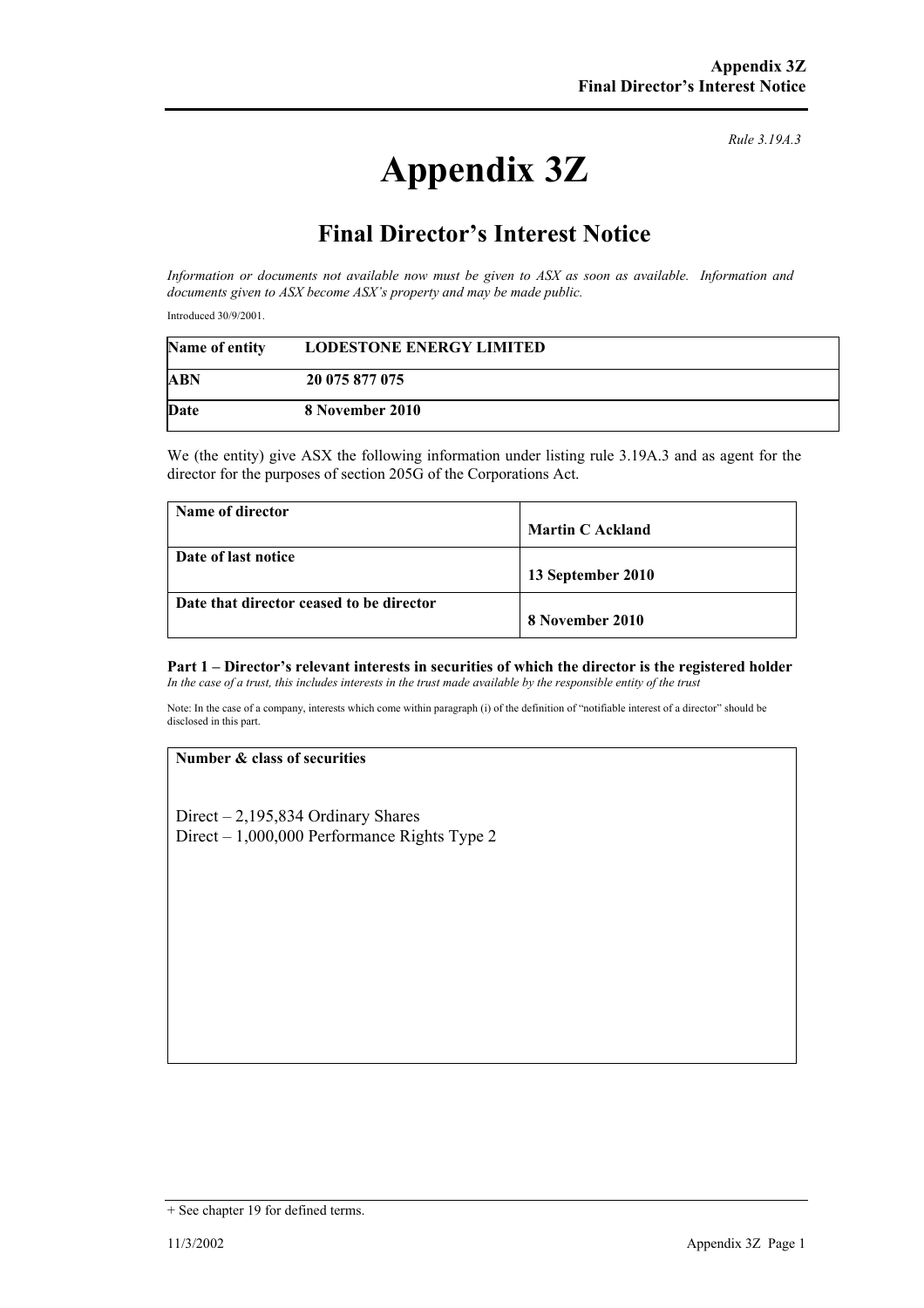# **Appendix 3Z**

*Rule 3.19A.3*

## **Final Director's Interest Notice**

*Information or documents not available now must be given to ASX as soon as available. Information and documents given to ASX become ASX's property and may be made public.* 

Introduced 30/9/2001.

| Name of entity | <b>LODESTONE ENERGY LIMITED</b> |
|----------------|---------------------------------|
| <b>ABN</b>     | 20 075 877 075                  |
| Date           | 8 November 2010                 |

We (the entity) give ASX the following information under listing rule 3.19A.3 and as agent for the director for the purposes of section 205G of the Corporations Act.

| Name of director                         |                         |
|------------------------------------------|-------------------------|
|                                          | <b>Martin C Ackland</b> |
| Date of last notice                      |                         |
|                                          | 13 September 2010       |
| Date that director ceased to be director |                         |
|                                          | 8 November 2010         |

#### **Part 1 – Director's relevant interests in securities of which the director is the registered holder** *In the case of a trust, this includes interests in the trust made available by the responsible entity of the trust*

Note: In the case of a company, interests which come within paragraph (i) of the definition of "notifiable interest of a director" should be disclosed in this part.

#### **Number & class of securities**

Direct – 2,195,834 Ordinary Shares Direct – 1,000,000 Performance Rights Type 2

<sup>+</sup> See chapter 19 for defined terms.